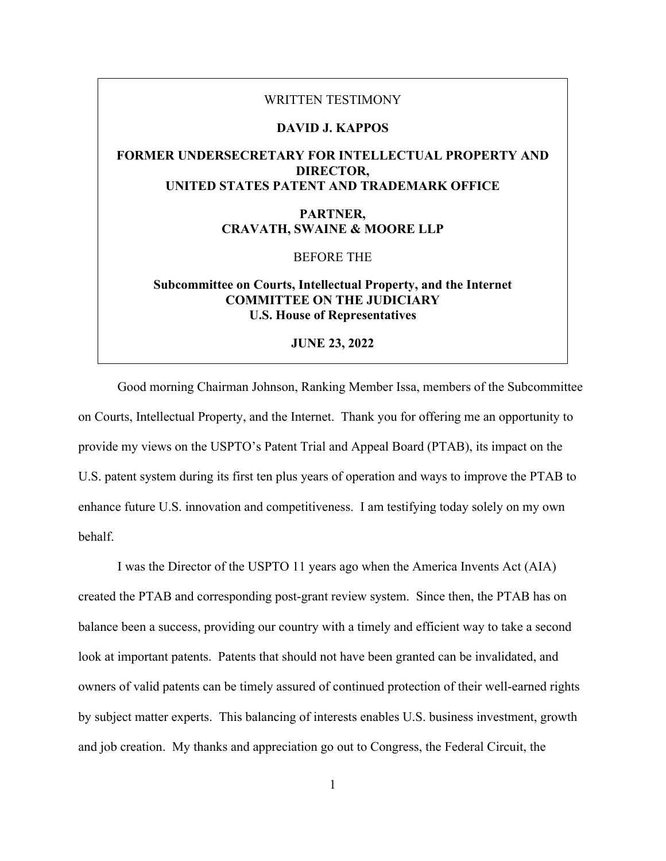#### WRITTEN TESTIMONY

### **DAVID J. KAPPOS**

# **FORMER UNDERSECRETARY FOR INTELLECTUAL PROPERTY AND DIRECTOR, UNITED STATES PATENT AND TRADEMARK OFFICE**

## **PARTNER, CRAVATH, SWAINE & MOORE LLP**

BEFORE THE

## **Subcommittee on Courts, Intellectual Property, and the Internet COMMITTEE ON THE JUDICIARY U.S. House of Representatives**

### **JUNE 23, 2022**

Good morning Chairman Johnson, Ranking Member Issa, members of the Subcommittee on Courts, Intellectual Property, and the Internet. Thank you for offering me an opportunity to provide my views on the USPTO's Patent Trial and Appeal Board (PTAB), its impact on the U.S. patent system during its first ten plus years of operation and ways to improve the PTAB to enhance future U.S. innovation and competitiveness. I am testifying today solely on my own behalf.

I was the Director of the USPTO 11 years ago when the America Invents Act (AIA) created the PTAB and corresponding post-grant review system. Since then, the PTAB has on balance been a success, providing our country with a timely and efficient way to take a second look at important patents. Patents that should not have been granted can be invalidated, and owners of valid patents can be timely assured of continued protection of their well-earned rights by subject matter experts. This balancing of interests enables U.S. business investment, growth and job creation. My thanks and appreciation go out to Congress, the Federal Circuit, the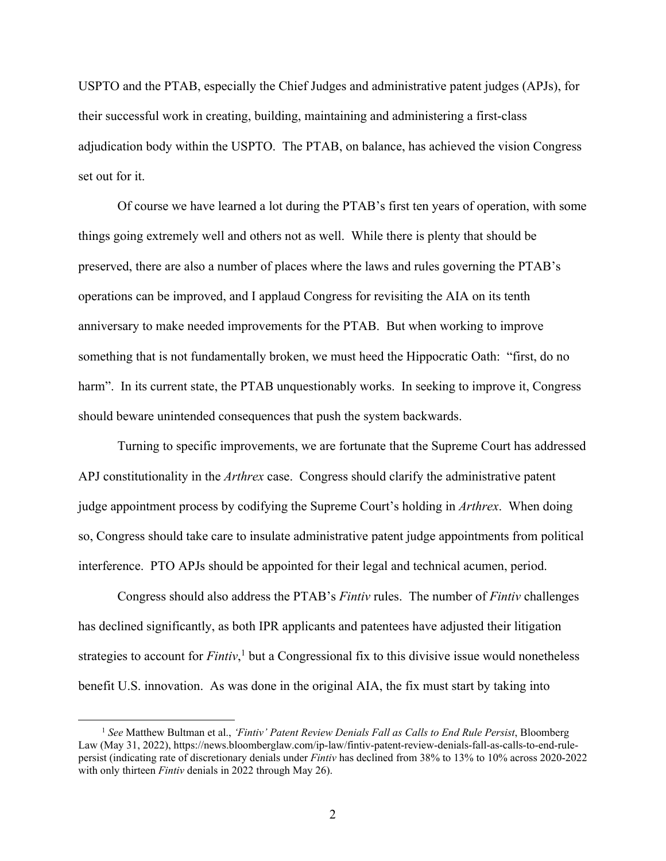USPTO and the PTAB, especially the Chief Judges and administrative patent judges (APJs), for their successful work in creating, building, maintaining and administering a first-class adjudication body within the USPTO. The PTAB, on balance, has achieved the vision Congress set out for it.

Of course we have learned a lot during the PTAB's first ten years of operation, with some things going extremely well and others not as well. While there is plenty that should be preserved, there are also a number of places where the laws and rules governing the PTAB's operations can be improved, and I applaud Congress for revisiting the AIA on its tenth anniversary to make needed improvements for the PTAB. But when working to improve something that is not fundamentally broken, we must heed the Hippocratic Oath: "first, do no harm". In its current state, the PTAB unquestionably works. In seeking to improve it, Congress should beware unintended consequences that push the system backwards.

Turning to specific improvements, we are fortunate that the Supreme Court has addressed APJ constitutionality in the *Arthrex* case. Congress should clarify the administrative patent judge appointment process by codifying the Supreme Court's holding in *Arthrex*. When doing so, Congress should take care to insulate administrative patent judge appointments from political interference. PTO APJs should be appointed for their legal and technical acumen, period.

Congress should also address the PTAB's *Fintiv* rules. The number of *Fintiv* challenges has declined significantly, as both IPR applicants and patentees have adjusted their litigation strategies to account for *Fintiv*,<sup>1</sup> but a Congressional fix to this divisive issue would nonetheless benefit U.S. innovation. As was done in the original AIA, the fix must start by taking into

<sup>1</sup> *See* Matthew Bultman et al., *'Fintiv' Patent Review Denials Fall as Calls to End Rule Persist*, Bloomberg Law (May 31, 2022), https://news.bloomberglaw.com/ip-law/fintiv-patent-review-denials-fall-as-calls-to-end-rulepersist (indicating rate of discretionary denials under *Fintiv* has declined from 38% to 13% to 10% across 2020-2022 with only thirteen *Fintiv* denials in 2022 through May 26).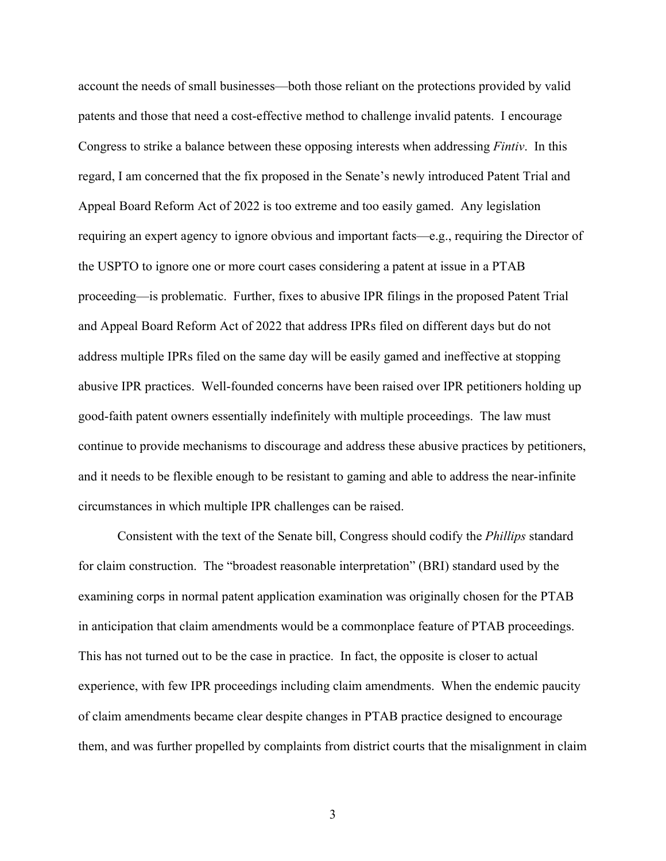account the needs of small businesses—both those reliant on the protections provided by valid patents and those that need a cost-effective method to challenge invalid patents. I encourage Congress to strike a balance between these opposing interests when addressing *Fintiv*. In this regard, I am concerned that the fix proposed in the Senate's newly introduced Patent Trial and Appeal Board Reform Act of 2022 is too extreme and too easily gamed. Any legislation requiring an expert agency to ignore obvious and important facts—e.g., requiring the Director of the USPTO to ignore one or more court cases considering a patent at issue in a PTAB proceeding—is problematic. Further, fixes to abusive IPR filings in the proposed Patent Trial and Appeal Board Reform Act of 2022 that address IPRs filed on different days but do not address multiple IPRs filed on the same day will be easily gamed and ineffective at stopping abusive IPR practices. Well-founded concerns have been raised over IPR petitioners holding up good-faith patent owners essentially indefinitely with multiple proceedings. The law must continue to provide mechanisms to discourage and address these abusive practices by petitioners, and it needs to be flexible enough to be resistant to gaming and able to address the near-infinite circumstances in which multiple IPR challenges can be raised.

Consistent with the text of the Senate bill, Congress should codify the *Phillips* standard for claim construction. The "broadest reasonable interpretation" (BRI) standard used by the examining corps in normal patent application examination was originally chosen for the PTAB in anticipation that claim amendments would be a commonplace feature of PTAB proceedings. This has not turned out to be the case in practice. In fact, the opposite is closer to actual experience, with few IPR proceedings including claim amendments. When the endemic paucity of claim amendments became clear despite changes in PTAB practice designed to encourage them, and was further propelled by complaints from district courts that the misalignment in claim

3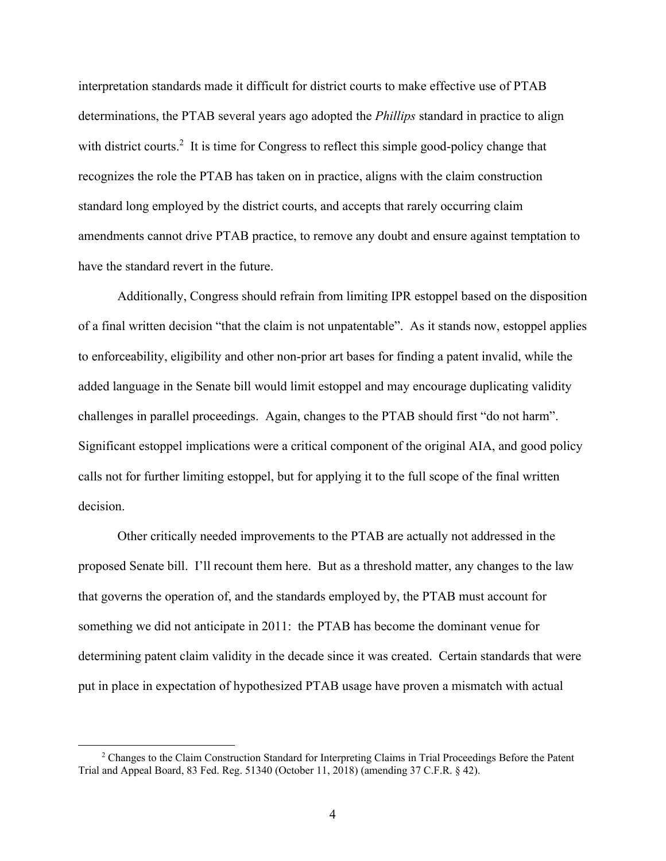interpretation standards made it difficult for district courts to make effective use of PTAB determinations, the PTAB several years ago adopted the *Phillips* standard in practice to align with district courts.<sup>2</sup> It is time for Congress to reflect this simple good-policy change that recognizes the role the PTAB has taken on in practice, aligns with the claim construction standard long employed by the district courts, and accepts that rarely occurring claim amendments cannot drive PTAB practice, to remove any doubt and ensure against temptation to have the standard revert in the future.

Additionally, Congress should refrain from limiting IPR estoppel based on the disposition of a final written decision "that the claim is not unpatentable". As it stands now, estoppel applies to enforceability, eligibility and other non-prior art bases for finding a patent invalid, while the added language in the Senate bill would limit estoppel and may encourage duplicating validity challenges in parallel proceedings. Again, changes to the PTAB should first "do not harm". Significant estoppel implications were a critical component of the original AIA, and good policy calls not for further limiting estoppel, but for applying it to the full scope of the final written decision.

Other critically needed improvements to the PTAB are actually not addressed in the proposed Senate bill. I'll recount them here. But as a threshold matter, any changes to the law that governs the operation of, and the standards employed by, the PTAB must account for something we did not anticipate in 2011: the PTAB has become the dominant venue for determining patent claim validity in the decade since it was created. Certain standards that were put in place in expectation of hypothesized PTAB usage have proven a mismatch with actual

<sup>&</sup>lt;sup>2</sup> Changes to the Claim Construction Standard for Interpreting Claims in Trial Proceedings Before the Patent Trial and Appeal Board, 83 Fed. Reg. 51340 (October 11, 2018) (amending 37 C.F.R. § 42).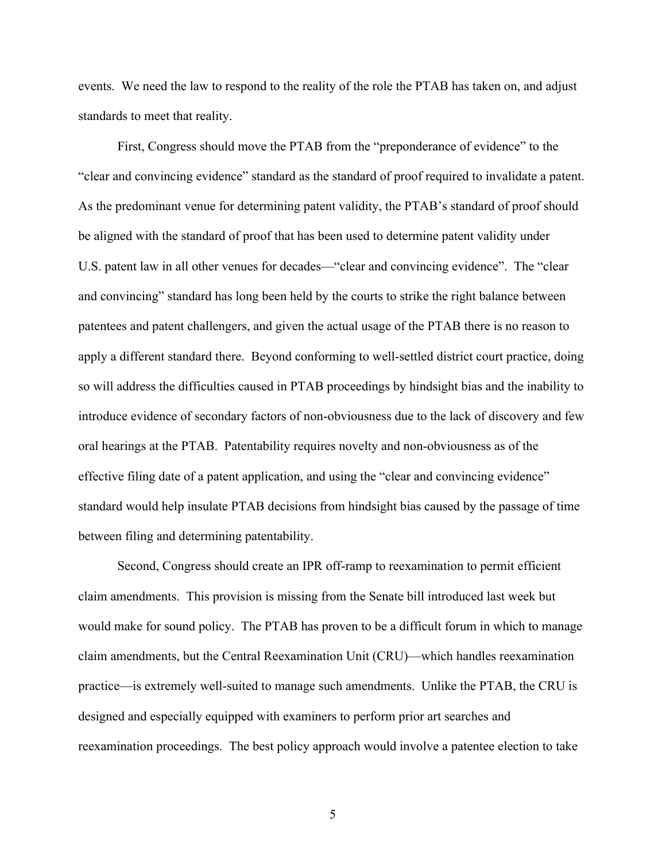events. We need the law to respond to the reality of the role the PTAB has taken on, and adjust standards to meet that reality.

First, Congress should move the PTAB from the "preponderance of evidence" to the "clear and convincing evidence" standard as the standard of proof required to invalidate a patent. As the predominant venue for determining patent validity, the PTAB's standard of proof should be aligned with the standard of proof that has been used to determine patent validity under U.S. patent law in all other venues for decades—"clear and convincing evidence". The "clear and convincing" standard has long been held by the courts to strike the right balance between patentees and patent challengers, and given the actual usage of the PTAB there is no reason to apply a different standard there. Beyond conforming to well-settled district court practice, doing so will address the difficulties caused in PTAB proceedings by hindsight bias and the inability to introduce evidence of secondary factors of non-obviousness due to the lack of discovery and few oral hearings at the PTAB. Patentability requires novelty and non-obviousness as of the effective filing date of a patent application, and using the "clear and convincing evidence" standard would help insulate PTAB decisions from hindsight bias caused by the passage of time between filing and determining patentability.

Second, Congress should create an IPR off-ramp to reexamination to permit efficient claim amendments. This provision is missing from the Senate bill introduced last week but would make for sound policy. The PTAB has proven to be a difficult forum in which to manage claim amendments, but the Central Reexamination Unit (CRU)—which handles reexamination practice—is extremely well-suited to manage such amendments. Unlike the PTAB, the CRU is designed and especially equipped with examiners to perform prior art searches and reexamination proceedings. The best policy approach would involve a patentee election to take

5